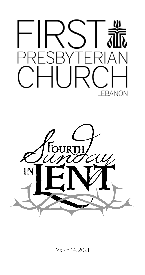



March 14, 2021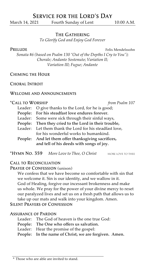# Service for the Lord's Day

March 14, 2021 Fourth Sunday of Lent 10:00 A.M.

### The Gathering

*To Glorify God and Enjoy God Forever*

PRELUDE Felix Mendelssohn

*Sonata #6 (based on Psalm 130 "Out of the Depths I Cry to You"); Chorale; Andante Sostenuto; Variation II; Variation III; Fugue; Andante*

#### Chiming the Hour

#### Choral Introit

# Welcome and Announcements

#### \*Call to Worship *from Psalm 107*

Leader: O give thanks to the Lord, for he is good; People: For his steadfast love endures forever. Leader: Some were sick through their sinful ways, People: Then they cried to the Lord in their trouble, Leader: Let them thank the Lord for his steadfast love, for his wonderful works to humankind. People: And let them offer thanksgiving sacrifices, and tell of his deeds with songs of joy.

\*Hymn No. 359 *More Love to Thee, O Christ* more love to thee

#### Call to Reconciliation

#### PRAYER OF CONFESSION (unison)

We confess that we have become so comfortable with sin that we welcome it. Sin is our identity, and we wallow in it. God of Healing, forgive our incessant brokenness and make us whole. We pray for the power of your divine mercy to reset our paralyzed lives and set us on a fresh path that allows us to take up our mats and walk into your kingdom. Amen.

Silent Prayers of Confession

### Assurance of Pardon

- Leader: The God of heaven is the one true God:
- People: The One who offers us salvation.
- Leader: Hear the promise of the gospel:
- People: In the name of Christ, we are forgiven. Amen.

#### \* Those who are able are invited to stand.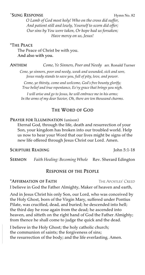# \*SUNG RESPONSE Hymn No. 82

*O Lamb of God most holy! Who on the cross did suffer, And patient still and lowly, Yourself to scorn did offer; Our sins by You were taken, Or hope had us forsaken; Have mercy on us, Jesus!*

\*The Peace The Peace of Christ be with you. And also with you.

### Anthem *Come, Ye Sinners, Poor and Needy* arr. Ronald Turner

*Cone, ye sinners, poor and needy, weak and wounded, sick and sore, Jesus ready stands to save you, full of pity, love, and power.*

*Come, ye thirsty, come and welcome, God's free bounty glorify; True belief and true repentance, Ev'ry grace that brings you nigh.*

*I will arise and go to Jesus, he will embrace me in his arms; In the arms of my dear Savior, Oh, there are ten thousand charms.*

### The Word of God

#### PRAYER FOR ILLUMINATION (unison)

Eternal God, through the life, death and resurrection of your Son, your kingdom has broken into our troubled world. Help us now to hear your Word that our lives might be signs of the new life offered through Jesus Christ our Lord. Amen.

## SCRIPTURE READING John 5:1-18

Sermon *Faith Healing: Becoming Whole* Rev. Sherard Edington

#### Response of the People

#### \***Affirmation of Faith** The Apostles' Creed

I believe in God the Father Almighty, Maker of heaven and earth,

And in Jesus Christ his only Son, our Lord, who was conceived by the Holy Ghost, born of the Virgin Mary, suffered under Pontius Pilate, was crucified, dead, and buried; he descended into hell; the third day he rose again from the dead; he ascended into heaven, and sitteth on the right hand of God the Father Almighty; from thence he shall come to judge the quick and the dead.

I believe in the Holy Ghost; the holy catholic church; the communion of saints; the forgiveness of sins; the resurrection of the body; and the life everlasting. Amen.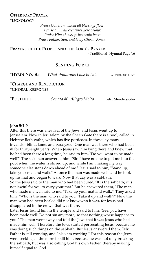# Offertory Prayer \*Doxology

*Praise God from whom all blessings flow; Praise Him, all creatures here below; Praise Him above, ye heavenly host: Praise Father, Son, and Holy Ghost. Amen.*

Prayers of the People and the Lord's Prayer (Traditional) Hymnal Page 16

# Sending Forth

\*Hymn No. 85 *What Wondrous Love Is This* wondrous love

\*Charge and Benediction \*Choral Response

\*Postlude *Sonata #6- Allegro Molto* Felix Mendelssohn

#### John 5:1-9

After this there was a festival of the Jews, and Jesus went up to Jerusalem. Now in Jerusalem by the Sheep Gate there is a pool, called in Hebrew Beth-zatha, which has five porticoes. In these lay many invalids—blind, lame, and paralyzed. One man was there who had been ill for thirty-eight years. When Jesus saw him lying there and knew that he had been there a long time, he said to him, "Do you want to be made well?" The sick man answered him, "Sir, I have no one to put me into the pool when the water is stirred up; and while I am making my way, someone else steps down ahead of me." Jesus said to him, "Stand up, take your mat and walk." At once the man was made well, and he took up his mat and began to walk. Now that day was a sabbath. So the Jews said to the man who had been cured, "It is the sabbath; it is not lawful for you to carry your mat." But he answered them, "The man

who made me well said to me, 'Take up your mat and walk.'" They asked him, "Who is the man who said to you, 'Take it up and walk'?" Now the man who had been healed did not know who it was, for Jesus had disappeared in the crowd that was there.

Later Jesus found him in the temple and said to him, "See, you have been made well! Do not sin any more, so that nothing worse happens to you." The man went away and told the Jews that it was Jesus who had made him well. Therefore the Jews started persecuting Jesus, because he was doing such things on the sabbath. But Jesus answered them, "My Father is still working, and I also am working." For this reason the Jews were seeking all the more to kill him, because he was not only breaking the sabbath, but was also calling God his own Father, thereby making himself equal to God.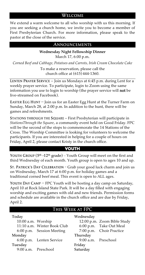#### Welcome

We extend a warm welcome to all who worship with us this morning. If you are seeking a church home, we invite you to become a member of First Presbyterian Church. For more information, please speak to the pastor at the close of the service.

#### Announcements

#### **Wednesday Night Fellowship Dinner**

March 17, 6:00 p.m.

*Corned Beef and Cabbage, Potatoes and Carrots, Irish Cream Chocolate Cake*

To make a reservation, please call the church office at (615)444-1360.

LENTEN PRAYER SERVICE  $-$  Join us Mondays at 6:45 p.m. during Lent for a weekly prayer service. To participate, login to Zoom using the same information you use to login to worship (the prayer service will not be live-streamed on Facebook).

EASTER EGG HUNT — Join us for an Easter Egg Hunt at the Turner Farm on Sunday, March 28, at 2:00 p.m. In addition to the hunt, there will be games and refreshments.

STATIONS THROUGH THE SQUARE – First Presbyterian will participate in *StationsThrough the Square*, a community event held on Good Friday. FPC will be the second of the stops to commemorate the 14 Stations of the Cross. The Worship Committee is looking for volunteers to welcome the participants. If you are interested in helping for a couple of hours on Friday, April 2, please contact Kristy in the church office.

# **YOUTH**

YOUTH GROUP  $(5<sup>th</sup> - 12<sup>th</sup>$  grade) – Youth Group will meet on the first and third Wednesday of each month. Youth group is open to ages 10 and up.

St. Patrick's Day Celebration – Grab your good luck charm and join us on Wednesday, March 17 at 6:00 p.m. for holiday games and a traditional corned beef meal. This event is open to ALL ages.

YOUTH DAY CAMP - FPC Youth will be hosting a day camp on Saturday, April 10 at Rock Island State Park. It will be a day filled with engaging worship and exciting games with old and new friends. Permission forms and schedule are available in the church office and are due by Friday, April 2.

# This Week at FPC

| Today               |                             | Wednesday           |                             |
|---------------------|-----------------------------|---------------------|-----------------------------|
| 10:00 a.m. Worship  |                             |                     | 12:00 p.m. Zoom Bible Study |
|                     | 11:10 a.m. Winter Book Club |                     | 6:00 p.m. Take Out Meal     |
|                     | 6:00 p.m. Session Meeting   |                     | 7:00 p.m. Choir Practice    |
| Monday              |                             | Thursday            |                             |
|                     | 6:00 p.m. Lenten Service    | 9:00 a.m. Preschool |                             |
| Tuesday             |                             | Friday              |                             |
| 9:00 a.m. Preschool |                             | Saturday            |                             |